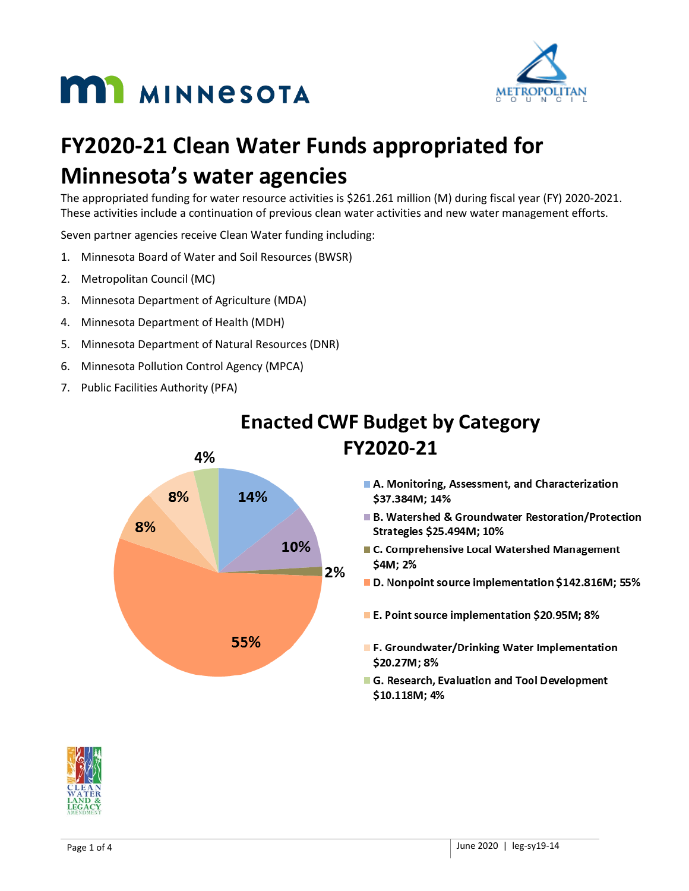



# **FY2020-21 Clean Water Funds appropriated for Minnesota's water agencies**

The appropriated funding for water resource activities is \$261.261 million (M) during fiscal year (FY) 2020-2021. These activities include a continuation of previous clean water activities and new water management efforts.

Seven partner agencies receive Clean Water funding including:

- 1. Minnesota Board of Water and Soil Resources (BWSR)
- 2. Metropolitan Council (MC)
- 3. Minnesota Department of Agriculture (MDA)
- 4. Minnesota Department of Health (MDH)
- 5. Minnesota Department of Natural Resources (DNR)
- 6. Minnesota Pollution Control Agency (MPCA)
- 7. Public Facilities Authority (PFA)



# **Enacted CWF Budget by Category** FY2020-21

- A. Monitoring, Assessment, and Characterization \$37.384M; 14%
- B. Watershed & Groundwater Restoration/Protection Strategies \$25.494M; 10%
- C. Comprehensive Local Watershed Management \$4M; 2%
- D. Nonpoint source implementation \$142.816M; 55%
- E. Point source implementation \$20.95M; 8%
- **F. Groundwater/Drinking Water Implementation** \$20.27M; 8%
- G. Research, Evaluation and Tool Development \$10.118M; 4%

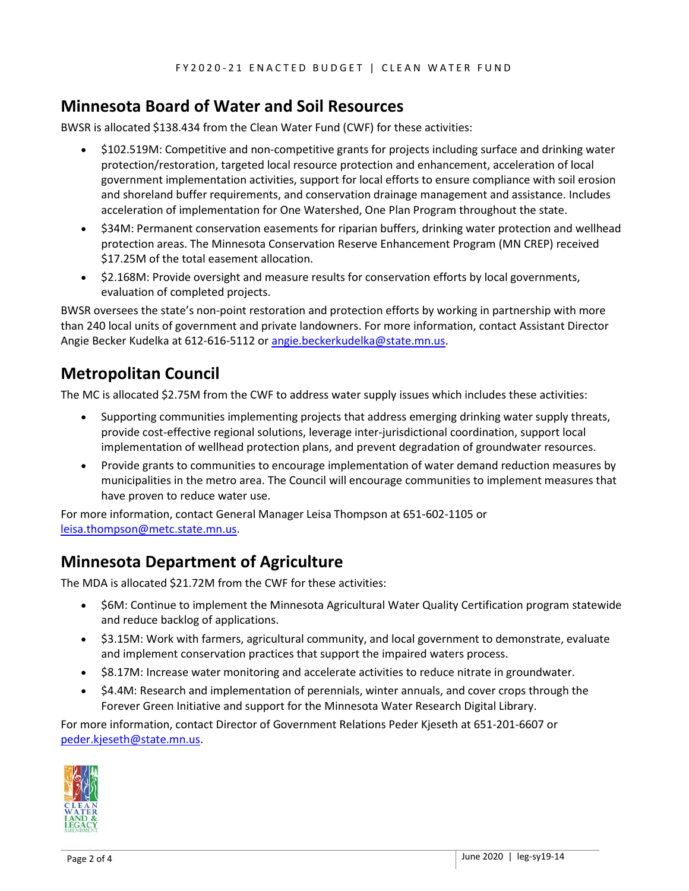#### **Minnesota Board of Water and Soil Resources**

BWSR is allocated \$138.434 from the Clean Water Fund (CWF) for these activities:

- \$102.519M: Competitive and non-competitive grants for projects including surface and drinking water protection/restoration, targeted local resource protection and enhancement, acceleration of local government implementation activities, support for local efforts to ensure compliance with soil erosion and shoreland buffer requirements, and conservation drainage management and assistance. Includes acceleration of implementation for One Watershed, One Plan Program throughout the state.
- \$34M: Permanent conservation easements for riparian buffers, drinking water protection and wellhead protection areas. The Minnesota Conservation Reserve Enhancement Program (MN CREP) received \$17.25M of the total easement allocation.
- \$2.168M: Provide oversight and measure results for conservation efforts by local governments, evaluation of completed projects.

BWSR oversees the state's non-point restoration and protection efforts by working in partnership with more than 240 local units of government and private landowners. For more information, contact Assistant Director Angie Becker Kudelka at 612-616-5112 or [angie.beckerkudelka@state.mn.us.](mailto:angie.beckerkudelka@state.mn.us)

### **Metropolitan Council**

The MC is allocated \$2.75M from the CWF to address water supply issues which includes these activities:

- Supporting communities implementing projects that address emerging drinking water supply threats, provide cost-effective regional solutions, leverage inter-jurisdictional coordination, support local implementation of wellhead protection plans, and prevent degradation of groundwater resources.
- Provide grants to communities to encourage implementation of water demand reduction measures by municipalities in the metro area. The Council will encourage communities to implement measures that have proven to reduce water use.

For more information, contact General Manager Leisa Thompson at 651-602-1105 or [leisa.thompson@metc.state.mn.us.](mailto:leisa.thompson@metc.state.mn.us)

# **Minnesota Department of Agriculture**

The MDA is allocated \$21.72M from the CWF for these activities:

- \$6M: Continue to implement the Minnesota Agricultural Water Quality Certification program statewide and reduce backlog of applications.
- \$3.15M: Work with farmers, agricultural community, and local government to demonstrate, evaluate and implement conservation practices that support the impaired waters process.
- \$8.17M: Increase water monitoring and accelerate activities to reduce nitrate in groundwater.
- \$4.4M: Research and implementation of perennials, winter annuals, and cover crops through the Forever Green Initiative and support for the Minnesota Water Research Digital Library.

For more information, contact Director of Government Relations Peder Kjeseth at 651-201-6607 or [peder.kjeseth@state.mn.us.](mailto:peder.kjeseth@state.mn.us)

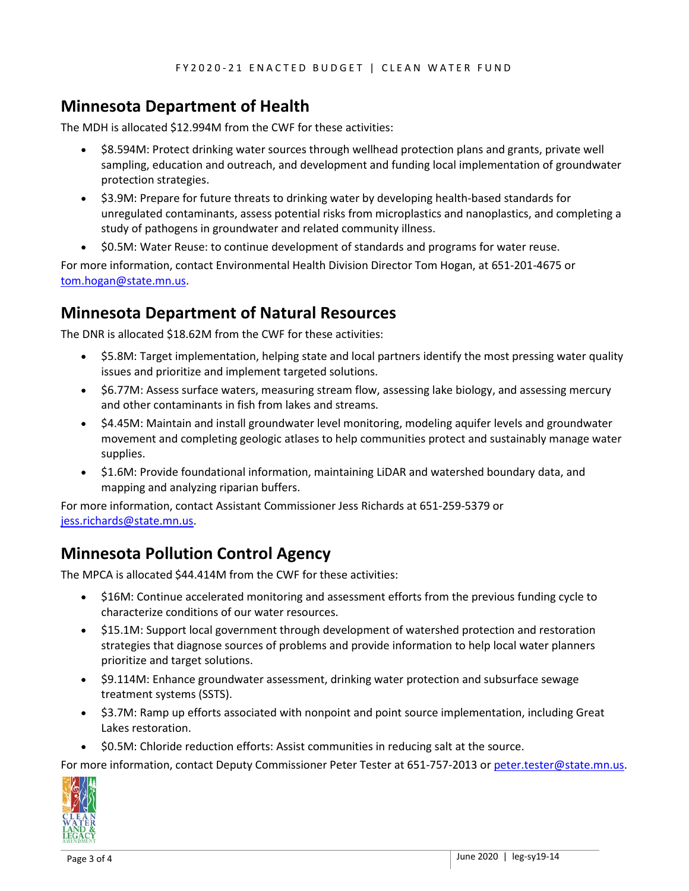### **Minnesota Department of Health**

The MDH is allocated \$12.994M from the CWF for these activities:

- \$8.594M: Protect drinking water sources through wellhead protection plans and grants, private well sampling, education and outreach, and development and funding local implementation of groundwater protection strategies.
- \$3.9M: Prepare for future threats to drinking water by developing health-based standards for unregulated contaminants, assess potential risks from microplastics and nanoplastics, and completing a study of pathogens in groundwater and related community illness.
- \$0.5M: Water Reuse: to continue development of standards and programs for water reuse.

For more information, contact Environmental Health Division Director Tom Hogan, at 651-201-4675 or [tom.hogan@state.mn.us.](mailto:tom.hogan@state.mn.us)

#### **Minnesota Department of Natural Resources**

The DNR is allocated \$18.62M from the CWF for these activities:

- \$5.8M: Target implementation, helping state and local partners identify the most pressing water quality issues and prioritize and implement targeted solutions.
- \$6.77M: Assess surface waters, measuring stream flow, assessing lake biology, and assessing mercury and other contaminants in fish from lakes and streams.
- \$4.45M: Maintain and install groundwater level monitoring, modeling aquifer levels and groundwater movement and completing geologic atlases to help communities protect and sustainably manage water supplies.
- \$1.6M: Provide foundational information, maintaining LiDAR and watershed boundary data, and mapping and analyzing riparian buffers.

For more information, contact Assistant Commissioner Jess Richards at 651-259-5379 or jess.richards@state.mn.us.

#### **Minnesota Pollution Control Agency**

The MPCA is allocated \$44.414M from the CWF for these activities:

- \$16M: Continue accelerated monitoring and assessment efforts from the previous funding cycle to characterize conditions of our water resources.
- \$15.1M: Support local government through development of watershed protection and restoration strategies that diagnose sources of problems and provide information to help local water planners prioritize and target solutions.
- \$9.114M: Enhance groundwater assessment, drinking water protection and subsurface sewage treatment systems (SSTS).
- \$3.7M: Ramp up efforts associated with nonpoint and point source implementation, including Great Lakes restoration.
- \$0.5M: Chloride reduction efforts: Assist communities in reducing salt at the source.

For more information, contact Deputy Commissioner Peter Tester at 651-757-2013 or peter.tester@state.mn.us.